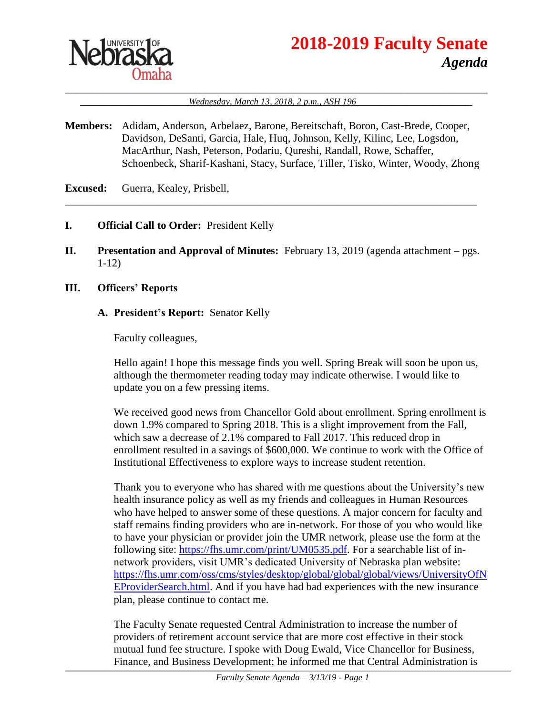

# **2018-2019 Faculty Senate** *Agenda*

#### \_\_\_\_\_\_\_\_\_\_\_\_\_\_\_\_\_\_\_\_\_\_\_\_\_\_\_\_\_\_\_\_\_\_\_\_\_\_\_\_\_\_\_\_\_\_\_\_\_\_\_\_\_\_\_\_\_\_\_\_\_\_\_\_\_\_\_\_\_\_\_\_\_\_\_\_\_\_ \_\_\_\_\_\_\_\_\_\_\_\_\_\_\_\_\_\_\_\_*Wednesday, March 13, 2018, 2 p.m., ASH 196* \_\_\_\_\_\_\_\_\_\_\_\_\_\_\_\_\_\_\_\_\_

**Members:** Adidam, Anderson, Arbelaez, Barone, Bereitschaft, Boron, Cast-Brede, Cooper, Davidson, DeSanti, Garcia, Hale, Huq, Johnson, Kelly, Kilinc, Lee, Logsdon, MacArthur, Nash, Peterson, Podariu, Qureshi, Randall, Rowe, Schaffer, Schoenbeck, Sharif-Kashani, Stacy, Surface, Tiller, Tisko, Winter, Woody, Zhong

\_\_\_\_\_\_\_\_\_\_\_\_\_\_\_\_\_\_\_\_\_\_\_\_\_\_\_\_\_\_\_\_\_\_\_\_\_\_\_\_\_\_\_\_\_\_\_\_\_\_\_\_\_\_\_\_\_\_\_\_\_\_\_\_\_\_\_\_\_\_\_\_\_\_\_\_

**Excused:** Guerra, Kealey, Prisbell,

#### **I. Official Call to Order:** President Kelly

**II. Presentation and Approval of Minutes:** February 13, 2019 (agenda attachment – pgs. 1-12)

#### **III. Officers' Reports**

#### **A. President's Report:** Senator Kelly

Faculty colleagues,

Hello again! I hope this message finds you well. Spring Break will soon be upon us, although the thermometer reading today may indicate otherwise. I would like to update you on a few pressing items.

We received good news from Chancellor Gold about enrollment. Spring enrollment is down 1.9% compared to Spring 2018. This is a slight improvement from the Fall, which saw a decrease of 2.1% compared to Fall 2017. This reduced drop in enrollment resulted in a savings of \$600,000. We continue to work with the Office of Institutional Effectiveness to explore ways to increase student retention.

Thank you to everyone who has shared with me questions about the University's new health insurance policy as well as my friends and colleagues in Human Resources who have helped to answer some of these questions. A major concern for faculty and staff remains finding providers who are in-network. For those of you who would like to have your physician or provider join the UMR network, please use the form at the following site: [https://fhs.umr.com/print/UM0535.pdf.](https://fhs.umr.com/print/UM0535.pdf) For a searchable list of innetwork providers, visit UMR's dedicated University of Nebraska plan website: [https://fhs.umr.com/oss/cms/styles/desktop/global/global/global/views/UniversityOfN](https://fhs.umr.com/oss/cms/styles/desktop/global/global/global/views/UniversityOfNEProviderSearch.html) [EProviderSearch.html.](https://fhs.umr.com/oss/cms/styles/desktop/global/global/global/views/UniversityOfNEProviderSearch.html) And if you have had bad experiences with the new insurance plan, please continue to contact me.

The Faculty Senate requested Central Administration to increase the number of providers of retirement account service that are more cost effective in their stock mutual fund fee structure. I spoke with Doug Ewald, Vice Chancellor for Business, Finance, and Business Development; he informed me that Central Administration is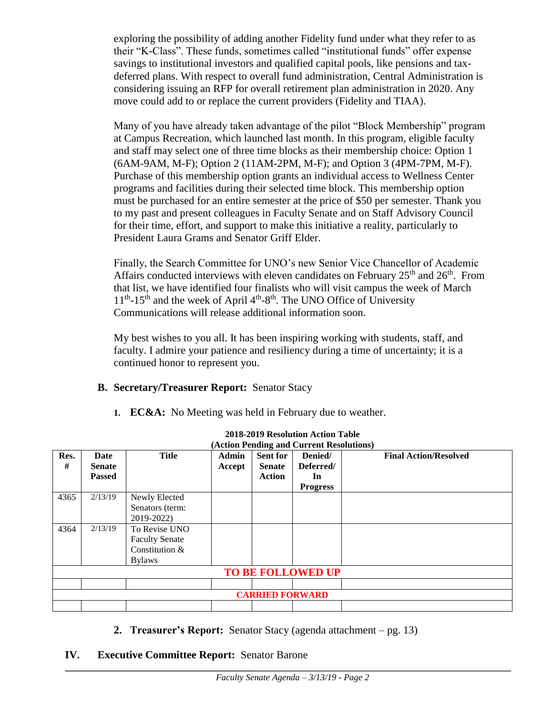exploring the possibility of adding another Fidelity fund under what they refer to as their "K-Class". These funds, sometimes called "institutional funds" offer expense savings to institutional investors and qualified capital pools, like pensions and taxdeferred plans. With respect to overall fund administration, Central Administration is considering issuing an RFP for overall retirement plan administration in 2020. Any move could add to or replace the current providers (Fidelity and TIAA).

Many of you have already taken advantage of the pilot "Block Membership" program at Campus Recreation, which launched last month. In this program, eligible faculty and staff may select one of three time blocks as their membership choice: Option 1 (6AM-9AM, M-F); Option 2 (11AM-2PM, M-F); and Option 3 (4PM-7PM, M-F). Purchase of this membership option grants an individual access to Wellness Center programs and facilities during their selected time block. This membership option must be purchased for an entire semester at the price of \$50 per semester. Thank you to my past and present colleagues in Faculty Senate and on Staff Advisory Council for their time, effort, and support to make this initiative a reality, particularly to President Laura Grams and Senator Griff Elder.

Finally, the Search Committee for UNO's new Senior Vice Chancellor of Academic Affairs conducted interviews with eleven candidates on February  $25<sup>th</sup>$  and  $26<sup>th</sup>$ . From that list, we have identified four finalists who will visit campus the week of March  $11<sup>th</sup>$ -15<sup>th</sup> and the week of April  $4<sup>th</sup>$ -8<sup>th</sup>. The UNO Office of University Communications will release additional information soon.

My best wishes to you all. It has been inspiring working with students, staff, and faculty. I admire your patience and resiliency during a time of uncertainty; it is a continued honor to represent you.

# **B. Secretary/Treasurer Report:** Senator Stacy

**1. EC&A:** No Meeting was held in February due to weather.

| (Action Pending and Current Resolutions) |                                        |                                                                           |                        |                                                   |                                               |                              |  |  |
|------------------------------------------|----------------------------------------|---------------------------------------------------------------------------|------------------------|---------------------------------------------------|-----------------------------------------------|------------------------------|--|--|
| Res.<br>#                                | Date<br><b>Senate</b><br><b>Passed</b> | <b>Title</b>                                                              | <b>Admin</b><br>Accept | <b>Sent for</b><br><b>Senate</b><br><b>Action</b> | Denied/<br>Deferred/<br>In<br><b>Progress</b> | <b>Final Action/Resolved</b> |  |  |
| 4365                                     | 2/13/19                                | Newly Elected<br>Senators (term:<br>2019-2022)                            |                        |                                                   |                                               |                              |  |  |
| 4364                                     | 2/13/19                                | To Revise UNO<br><b>Faculty Senate</b><br>Constitution &<br><b>Bylaws</b> |                        |                                                   |                                               |                              |  |  |
| <b>TO BE FOLLOWED UP</b>                 |                                        |                                                                           |                        |                                                   |                                               |                              |  |  |
|                                          |                                        |                                                                           |                        |                                                   |                                               |                              |  |  |
| <b>CARRIED FORWARD</b>                   |                                        |                                                                           |                        |                                                   |                                               |                              |  |  |
|                                          |                                        |                                                                           |                        |                                                   |                                               |                              |  |  |

# **2018-2019 Resolution Action Table**

**2. Treasurer's Report:** Senator Stacy (agenda attachment – pg. 13)

#### **IV. Executive Committee Report:** Senator Barone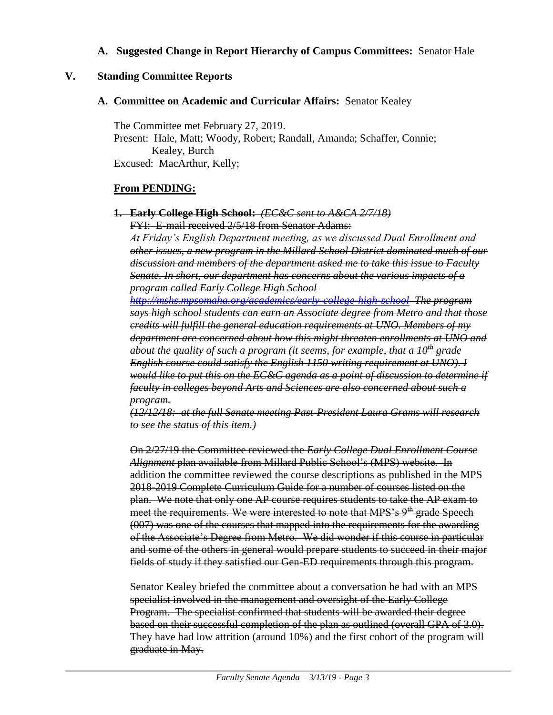#### **A. Suggested Change in Report Hierarchy of Campus Committees:** Senator Hale

#### **V. Standing Committee Reports**

#### **A. Committee on Academic and Curricular Affairs:** Senator Kealey

The Committee met February 27, 2019. Present: Hale, Matt; Woody, Robert; Randall, Amanda; Schaffer, Connie; Kealey, Burch Excused: MacArthur, Kelly;

#### **From PENDING:**

**1. Early College High School:** *(EC&C sent to A&CA 2/7/18)*

FYI: E-mail received 2/5/18 from Senator Adams:

*At Friday's English Department meeting, as we discussed Dual Enrollment and other issues, a new program in the Millard School District dominated much of our discussion and members of the department asked me to take this issue to Faculty Senate. In short, our department has concerns about the various impacts of a program called Early College High School* 

*<http://mshs.mpsomaha.org/academics/early-college-high-school> The program says high school students can earn an Associate degree from Metro and that those credits will fulfill the general education requirements at UNO. Members of my department are concerned about how this might threaten enrollments at UNO and about the quality of such a program (it seems, for example, that a 10th grade English course could satisfy the English 1150 writing requirement at UNO). I would like to put this on the EC&C agenda as a point of discussion to determine if faculty in colleges beyond Arts and Sciences are also concerned about such a program.*

*(12/12/18: at the full Senate meeting Past-President Laura Grams will research to see the status of this item.)*

On 2/27/19 the Committee reviewed the *Early College Dual Enrollment Course Alignment* plan available from Millard Public School's (MPS) website. In addition the committee reviewed the course descriptions as published in the MPS 2018-2019 Complete Curriculum Guide for a number of courses listed on the plan. We note that only one AP course requires students to take the AP exam to meet the requirements. We were interested to note that MPS's  $9<sup>th</sup>$  grade Speech (007) was one of the courses that mapped into the requirements for the awarding of the Associate's Degree from Metro. We did wonder if this course in particular and some of the others in general would prepare students to succeed in their major fields of study if they satisfied our Gen-ED requirements through this program.

Senator Kealey briefed the committee about a conversation he had with an MPS specialist involved in the management and oversight of the Early College Program. The specialist confirmed that students will be awarded their degree based on their successful completion of the plan as outlined (overall GPA of 3.0). They have had low attrition (around 10%) and the first cohort of the program will graduate in May.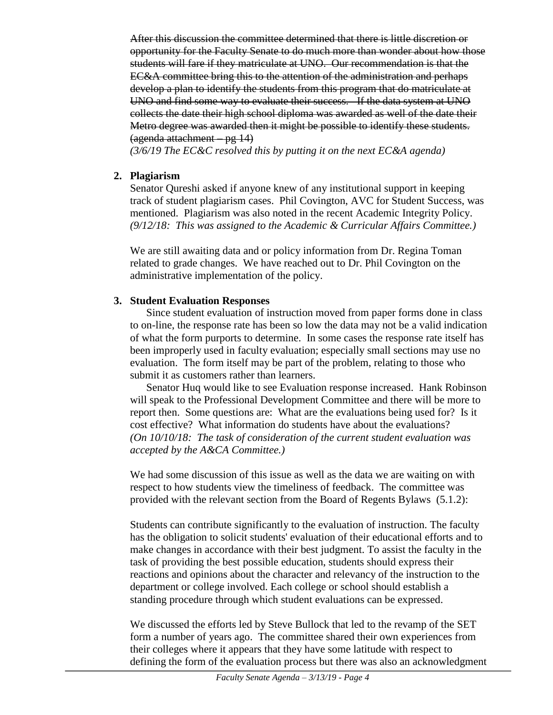After this discussion the committee determined that there is little discretion or opportunity for the Faculty Senate to do much more than wonder about how those students will fare if they matriculate at UNO. Our recommendation is that the EC&A committee bring this to the attention of the administration and perhaps develop a plan to identify the students from this program that do matriculate at UNO and find some way to evaluate their success. If the data system at UNO collects the date their high school diploma was awarded as well of the date their Metro degree was awarded then it might be possible to identify these students. (agenda attachment – pg 14)

*(3/6/19 The EC&C resolved this by putting it on the next EC&A agenda)*

## **2. Plagiarism**

Senator Qureshi asked if anyone knew of any institutional support in keeping track of student plagiarism cases. Phil Covington, AVC for Student Success, was mentioned. Plagiarism was also noted in the recent Academic Integrity Policy. *(9/12/18: This was assigned to the Academic & Curricular Affairs Committee.)* 

We are still awaiting data and or policy information from Dr. Regina Toman related to grade changes. We have reached out to Dr. Phil Covington on the administrative implementation of the policy.

# **3. Student Evaluation Responses**

Since student evaluation of instruction moved from paper forms done in class to on-line, the response rate has been so low the data may not be a valid indication of what the form purports to determine. In some cases the response rate itself has been improperly used in faculty evaluation; especially small sections may use no evaluation. The form itself may be part of the problem, relating to those who submit it as customers rather than learners.

Senator Huq would like to see Evaluation response increased. Hank Robinson will speak to the Professional Development Committee and there will be more to report then. Some questions are: What are the evaluations being used for? Is it cost effective? What information do students have about the evaluations? *(On 10/10/18: The task of consideration of the current student evaluation was accepted by the A&CA Committee.)*

We had some discussion of this issue as well as the data we are waiting on with respect to how students view the timeliness of feedback. The committee was provided with the relevant section from the Board of Regents Bylaws (5.1.2):

Students can contribute significantly to the evaluation of instruction. The faculty has the obligation to solicit students' evaluation of their educational efforts and to make changes in accordance with their best judgment. To assist the faculty in the task of providing the best possible education, students should express their reactions and opinions about the character and relevancy of the instruction to the department or college involved. Each college or school should establish a standing procedure through which student evaluations can be expressed.

We discussed the efforts led by Steve Bullock that led to the revamp of the SET form a number of years ago. The committee shared their own experiences from their colleges where it appears that they have some latitude with respect to defining the form of the evaluation process but there was also an acknowledgment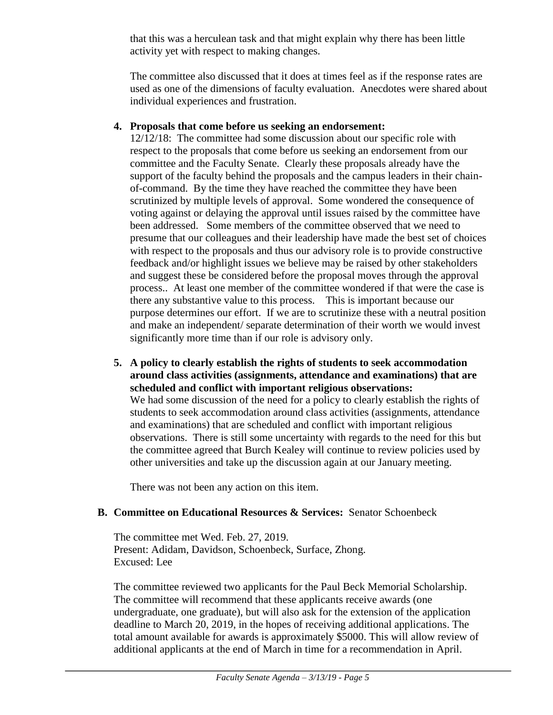that this was a herculean task and that might explain why there has been little activity yet with respect to making changes.

The committee also discussed that it does at times feel as if the response rates are used as one of the dimensions of faculty evaluation. Anecdotes were shared about individual experiences and frustration.

## **4. Proposals that come before us seeking an endorsement:**

12/12/18: The committee had some discussion about our specific role with respect to the proposals that come before us seeking an endorsement from our committee and the Faculty Senate. Clearly these proposals already have the support of the faculty behind the proposals and the campus leaders in their chainof-command. By the time they have reached the committee they have been scrutinized by multiple levels of approval. Some wondered the consequence of voting against or delaying the approval until issues raised by the committee have been addressed. Some members of the committee observed that we need to presume that our colleagues and their leadership have made the best set of choices with respect to the proposals and thus our advisory role is to provide constructive feedback and/or highlight issues we believe may be raised by other stakeholders and suggest these be considered before the proposal moves through the approval process.. At least one member of the committee wondered if that were the case is there any substantive value to this process. This is important because our purpose determines our effort. If we are to scrutinize these with a neutral position and make an independent/ separate determination of their worth we would invest significantly more time than if our role is advisory only.

**5. A policy to clearly establish the rights of students to seek accommodation around class activities (assignments, attendance and examinations) that are scheduled and conflict with important religious observations:** We had some discussion of the need for a policy to clearly establish the rights of students to seek accommodation around class activities (assignments, attendance and examinations) that are scheduled and conflict with important religious observations. There is still some uncertainty with regards to the need for this but the committee agreed that Burch Kealey will continue to review policies used by other universities and take up the discussion again at our January meeting.

There was not been any action on this item.

# **B. Committee on Educational Resources & Services:** Senator Schoenbeck

The committee met Wed. Feb. 27, 2019. Present: Adidam, Davidson, Schoenbeck, Surface, Zhong. Excused: Lee

The committee reviewed two applicants for the Paul Beck Memorial Scholarship. The committee will recommend that these applicants receive awards (one undergraduate, one graduate), but will also ask for the extension of the application deadline to March 20, 2019, in the hopes of receiving additional applications. The total amount available for awards is approximately \$5000. This will allow review of additional applicants at the end of March in time for a recommendation in April.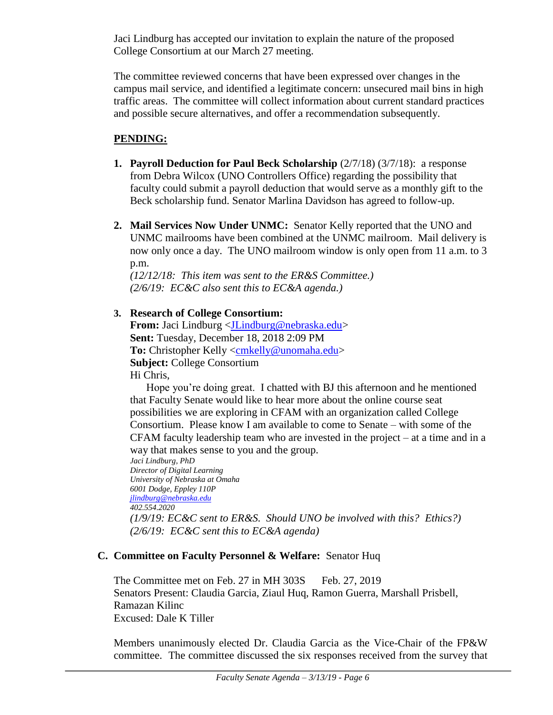Jaci Lindburg has accepted our invitation to explain the nature of the proposed College Consortium at our March 27 meeting.

The committee reviewed concerns that have been expressed over changes in the campus mail service, and identified a legitimate concern: unsecured mail bins in high traffic areas. The committee will collect information about current standard practices and possible secure alternatives, and offer a recommendation subsequently.

# **PENDING:**

- **1. Payroll Deduction for Paul Beck Scholarship**  $(2/7/18)$   $(3/7/18)$ : a response from Debra Wilcox (UNO Controllers Office) regarding the possibility that faculty could submit a payroll deduction that would serve as a monthly gift to the Beck scholarship fund. Senator Marlina Davidson has agreed to follow-up.
- **2. Mail Services Now Under UNMC:** Senator Kelly reported that the UNO and UNMC mailrooms have been combined at the UNMC mailroom. Mail delivery is now only once a day. The UNO mailroom window is only open from 11 a.m. to 3 p.m.

*(12/12/18: This item was sent to the ER&S Committee.) (2/6/19: EC&C also sent this to EC&A agenda.)*

# **3. Research of College Consortium:**

**From:** Jaci Lindburg [<JLindburg@nebraska.edu>](mailto:JLindburg@nebraska.edu) **Sent:** Tuesday, December 18, 2018 2:09 PM To: Christopher Kelly [<cmkelly@unomaha.edu>](mailto:cmkelly@unomaha.edu) **Subject:** College Consortium Hi Chris,

Hope you're doing great. I chatted with BJ this afternoon and he mentioned that Faculty Senate would like to hear more about the online course seat possibilities we are exploring in CFAM with an organization called College Consortium. Please know I am available to come to Senate – with some of the CFAM faculty leadership team who are invested in the project – at a time and in a way that makes sense to you and the group.

*Jaci Lindburg, PhD Director of Digital Learning University of Nebraska at Omaha 6001 Dodge, Eppley 110P [jlindburg@nebraska.edu](mailto:jlindburg@nebraska.edu) 402.554.2020 (1/9/19: EC&C sent to ER&S. Should UNO be involved with this? Ethics?) (2/6/19: EC&C sent this to EC&A agenda)*

## **C. Committee on Faculty Personnel & Welfare:** Senator Huq

The Committee met on Feb. 27 in MH 303S Feb. 27, 2019 Senators Present: Claudia Garcia, Ziaul Huq, Ramon Guerra, Marshall Prisbell, Ramazan Kilinc Excused: Dale K Tiller

Members unanimously elected Dr. Claudia Garcia as the Vice-Chair of the FP&W committee. The committee discussed the six responses received from the survey that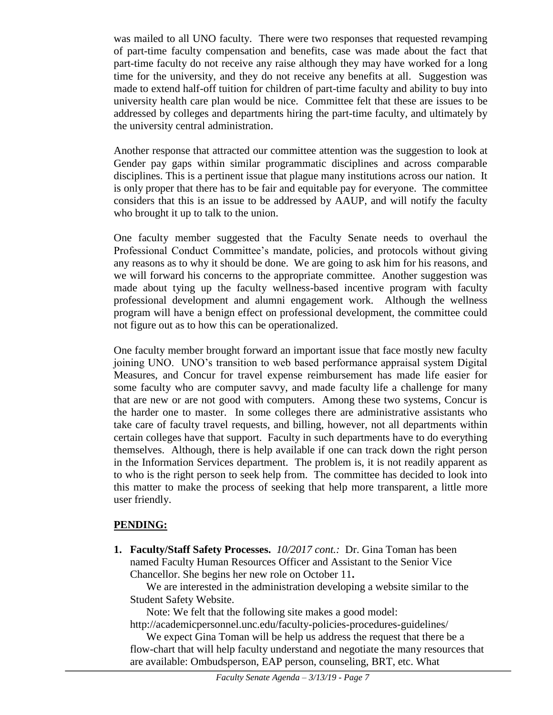was mailed to all UNO faculty. There were two responses that requested revamping of part-time faculty compensation and benefits, case was made about the fact that part-time faculty do not receive any raise although they may have worked for a long time for the university, and they do not receive any benefits at all. Suggestion was made to extend half-off tuition for children of part-time faculty and ability to buy into university health care plan would be nice. Committee felt that these are issues to be addressed by colleges and departments hiring the part-time faculty, and ultimately by the university central administration.

Another response that attracted our committee attention was the suggestion to look at Gender pay gaps within similar programmatic disciplines and across comparable disciplines. This is a pertinent issue that plague many institutions across our nation. It is only proper that there has to be fair and equitable pay for everyone. The committee considers that this is an issue to be addressed by AAUP, and will notify the faculty who brought it up to talk to the union.

One faculty member suggested that the Faculty Senate needs to overhaul the Professional Conduct Committee's mandate, policies, and protocols without giving any reasons as to why it should be done. We are going to ask him for his reasons, and we will forward his concerns to the appropriate committee. Another suggestion was made about tying up the faculty wellness-based incentive program with faculty professional development and alumni engagement work. Although the wellness program will have a benign effect on professional development, the committee could not figure out as to how this can be operationalized.

One faculty member brought forward an important issue that face mostly new faculty joining UNO. UNO's transition to web based performance appraisal system Digital Measures, and Concur for travel expense reimbursement has made life easier for some faculty who are computer savvy, and made faculty life a challenge for many that are new or are not good with computers. Among these two systems, Concur is the harder one to master. In some colleges there are administrative assistants who take care of faculty travel requests, and billing, however, not all departments within certain colleges have that support. Faculty in such departments have to do everything themselves. Although, there is help available if one can track down the right person in the Information Services department. The problem is, it is not readily apparent as to who is the right person to seek help from. The committee has decided to look into this matter to make the process of seeking that help more transparent, a little more user friendly.

## **PENDING:**

**1. Faculty/Staff Safety Processes.** *10/2017 cont.:* Dr. Gina Toman has been named Faculty Human Resources Officer and Assistant to the Senior Vice Chancellor. She begins her new role on October 11**.**

We are interested in the administration developing a website similar to the Student Safety Website.

Note: We felt that the following site makes a good model:

http://academicpersonnel.unc.edu/faculty-policies-procedures-guidelines/

We expect Gina Toman will be help us address the request that there be a flow-chart that will help faculty understand and negotiate the many resources that are available: Ombudsperson, EAP person, counseling, BRT, etc. What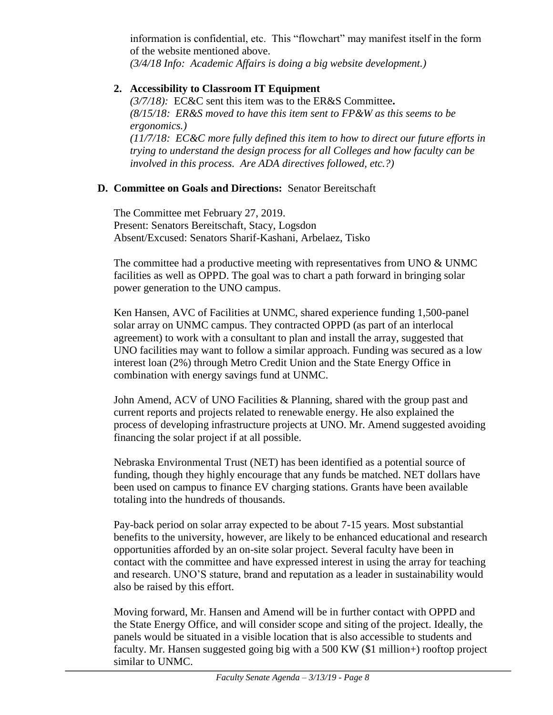information is confidential, etc. This "flowchart" may manifest itself in the form of the website mentioned above.

*(3/4/18 Info: Academic Affairs is doing a big website development.)*

# **2. Accessibility to Classroom IT Equipment**

*(3/7/18):* EC&C sent this item was to the ER&S Committee**.**  *(8/15/18: ER&S moved to have this item sent to FP&W as this seems to be ergonomics.) (11/7/18: EC&C more fully defined this item to how to direct our future efforts in trying to understand the design process for all Colleges and how faculty can be involved in this process. Are ADA directives followed, etc.?)* 

## **D. Committee on Goals and Directions:** Senator Bereitschaft

The Committee met February 27, 2019. Present: Senators Bereitschaft, Stacy, Logsdon Absent/Excused: Senators Sharif-Kashani, Arbelaez, Tisko

The committee had a productive meeting with representatives from UNO & UNMC facilities as well as OPPD. The goal was to chart a path forward in bringing solar power generation to the UNO campus.

Ken Hansen, AVC of Facilities at UNMC, shared experience funding 1,500-panel solar array on UNMC campus. They contracted OPPD (as part of an interlocal agreement) to work with a consultant to plan and install the array, suggested that UNO facilities may want to follow a similar approach. Funding was secured as a low interest loan (2%) through Metro Credit Union and the State Energy Office in combination with energy savings fund at UNMC.

John Amend, ACV of UNO Facilities & Planning, shared with the group past and current reports and projects related to renewable energy. He also explained the process of developing infrastructure projects at UNO. Mr. Amend suggested avoiding financing the solar project if at all possible.

Nebraska Environmental Trust (NET) has been identified as a potential source of funding, though they highly encourage that any funds be matched. NET dollars have been used on campus to finance EV charging stations. Grants have been available totaling into the hundreds of thousands.

Pay-back period on solar array expected to be about 7-15 years. Most substantial benefits to the university, however, are likely to be enhanced educational and research opportunities afforded by an on-site solar project. Several faculty have been in contact with the committee and have expressed interest in using the array for teaching and research. UNO'S stature, brand and reputation as a leader in sustainability would also be raised by this effort.

Moving forward, Mr. Hansen and Amend will be in further contact with OPPD and the State Energy Office, and will consider scope and siting of the project. Ideally, the panels would be situated in a visible location that is also accessible to students and faculty. Mr. Hansen suggested going big with a 500 KW (\$1 million+) rooftop project similar to UNMC.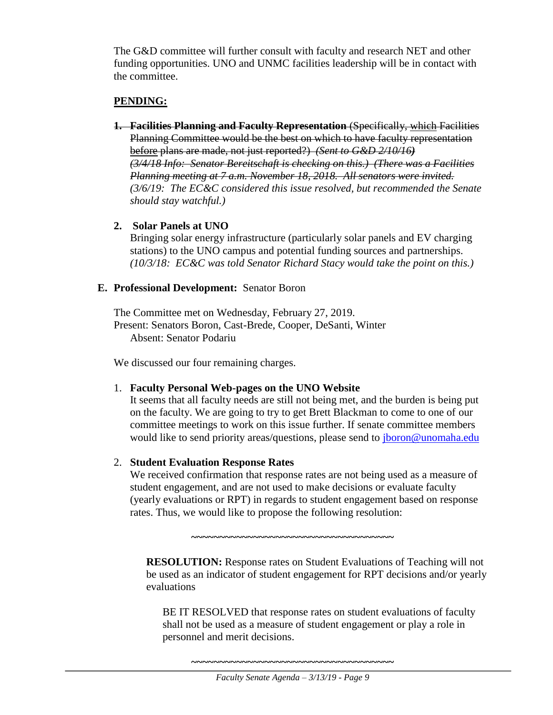The G&D committee will further consult with faculty and research NET and other funding opportunities. UNO and UNMC facilities leadership will be in contact with the committee.

## **PENDING:**

- **1. Facilities Planning and Faculty Representation** (Specifically, which Facilities Planning Committee would be the best on which to have faculty representation before plans are made, not just reported?) *(Sent to G&D 2/10/16) (3/4/18 Info: Senator Bereitschaft is checking on this.) (There was a Facilities Planning meeting at 7 a.m. November 18, 2018. All senators were invited. (3/6/19: The EC&C considered this issue resolved, but recommended the Senate should stay watchful.)*
- **2. Solar Panels at UNO**

Bringing solar energy infrastructure (particularly solar panels and EV charging stations) to the UNO campus and potential funding sources and partnerships. *(10/3/18: EC&C was told Senator Richard Stacy would take the point on this.)*

## **E. Professional Development:** Senator Boron

The Committee met on Wednesday, February 27, 2019. Present: Senators Boron, Cast-Brede, Cooper, DeSanti, Winter Absent: Senator Podariu

We discussed our four remaining charges.

## 1. **Faculty Personal Web-pages on the UNO Website**

It seems that all faculty needs are still not being met, and the burden is being put on the faculty. We are going to try to get Brett Blackman to come to one of our committee meetings to work on this issue further. If senate committee members would like to send priority areas/questions, please send to *jboron@unomaha.edu* 

## 2. **Student Evaluation Response Rates**

We received confirmation that response rates are not being used as a measure of student engagement, and are not used to make decisions or evaluate faculty (yearly evaluations or RPT) in regards to student engagement based on response rates. Thus, we would like to propose the following resolution:

**~~~~~~~~~~~~~~~~~~~~~~~~~~~~~~~~~~~~**

**RESOLUTION:** Response rates on Student Evaluations of Teaching will not be used as an indicator of student engagement for RPT decisions and/or yearly evaluations

BE IT RESOLVED that response rates on student evaluations of faculty shall not be used as a measure of student engagement or play a role in personnel and merit decisions.

**~~~~~~~~~~~~~~~~~~~~~~~~~~~~~~~~~~~~**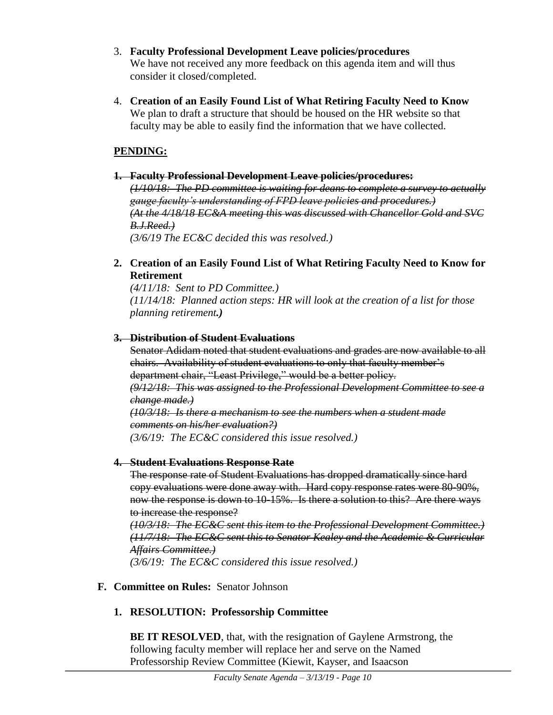- 3. **Faculty Professional Development Leave policies/procedures** We have not received any more feedback on this agenda item and will thus consider it closed/completed.
- 4. **Creation of an Easily Found List of What Retiring Faculty Need to Know** We plan to draft a structure that should be housed on the HR website so that faculty may be able to easily find the information that we have collected.

# **PENDING:**

#### **1. Faculty Professional Development Leave policies/procedures:**

*(1/10/18: The PD committee is waiting for deans to complete a survey to actually gauge faculty's understanding of FPD leave policies and procedures.) (At the 4/18/18 EC&A meeting this was discussed with Chancellor Gold and SVC B.J.Reed.) (3/6/19 The EC&C decided this was resolved.)*

## **2. Creation of an Easily Found List of What Retiring Faculty Need to Know for Retirement**

*(4/11/18: Sent to PD Committee.) (11/14/18: Planned action steps: HR will look at the creation of a list for those planning retirement.)*

## **3. Distribution of Student Evaluations**

Senator Adidam noted that student evaluations and grades are now available to all chairs. Availability of student evaluations to only that faculty member's department chair, "Least Privilege," would be a better policy.

*(9/12/18: This was assigned to the Professional Development Committee to see a change made.)*

*(10/3/18: Is there a mechanism to see the numbers when a student made comments on his/her evaluation?)*

*(3/6/19: The EC&C considered this issue resolved.)*

# **4. Student Evaluations Response Rate**

The response rate of Student Evaluations has dropped dramatically since hard copy evaluations were done away with. Hard copy response rates were 80-90%, now the response is down to 10-15%. Is there a solution to this? Are there ways to increase the response?

*(10/3/18: The EC&C sent this item to the Professional Development Committee.) (11/7/18: The EC&C sent this to Senator Kealey and the Academic & Curricular Affairs Committee.) (3/6/19: The EC&C considered this issue resolved.)*

# **F. Committee on Rules:** Senator Johnson

# **1. RESOLUTION: Professorship Committee**

**BE IT RESOLVED**, that, with the resignation of Gaylene Armstrong, the following faculty member will replace her and serve on the Named Professorship Review Committee (Kiewit, Kayser, and Isaacson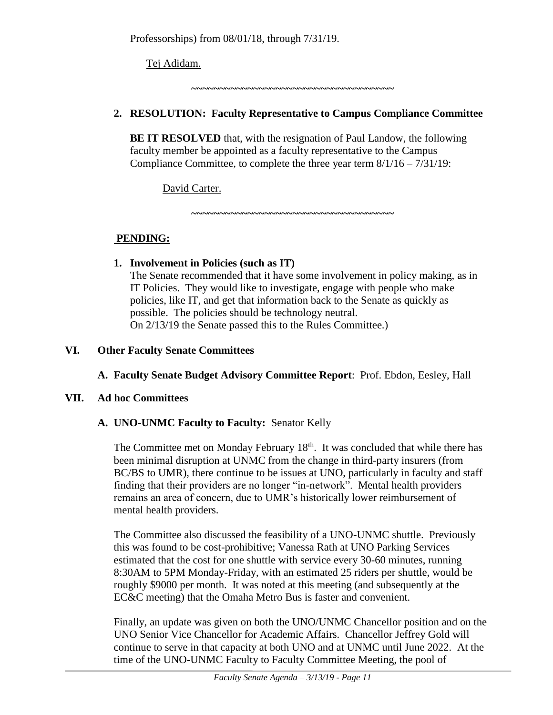Professorships) from 08/01/18, through 7/31/19.

Tej Adidam.

**~~~~~~~~~~~~~~~~~~~~~~~~~~~~~~~~~~~~**

# **2. RESOLUTION: Faculty Representative to Campus Compliance Committee**

**BE IT RESOLVED** that, with the resignation of Paul Landow, the following faculty member be appointed as a faculty representative to the Campus Compliance Committee, to complete the three year term 8/1/16 – 7/31/19:

David Carter.

**~~~~~~~~~~~~~~~~~~~~~~~~~~~~~~~~~~~~**

# **PENDING:**

#### **1. Involvement in Policies (such as IT)** The Senate recommended that it have some involvement in policy making, as in

IT Policies. They would like to investigate, engage with people who make policies, like IT, and get that information back to the Senate as quickly as possible. The policies should be technology neutral. On 2/13/19 the Senate passed this to the Rules Committee.)

**VI. Other Faculty Senate Committees**

# **A. Faculty Senate Budget Advisory Committee Report**: Prof. Ebdon, Eesley, Hall

# **VII. Ad hoc Committees**

# **A. UNO-UNMC Faculty to Faculty:** Senator Kelly

The Committee met on Monday February 18<sup>th</sup>. It was concluded that while there has been minimal disruption at UNMC from the change in third-party insurers (from BC/BS to UMR), there continue to be issues at UNO, particularly in faculty and staff finding that their providers are no longer "in-network". Mental health providers remains an area of concern, due to UMR's historically lower reimbursement of mental health providers.

The Committee also discussed the feasibility of a UNO-UNMC shuttle. Previously this was found to be cost-prohibitive; Vanessa Rath at UNO Parking Services estimated that the cost for one shuttle with service every 30-60 minutes, running 8:30AM to 5PM Monday-Friday, with an estimated 25 riders per shuttle, would be roughly \$9000 per month. It was noted at this meeting (and subsequently at the EC&C meeting) that the Omaha Metro Bus is faster and convenient.

Finally, an update was given on both the UNO/UNMC Chancellor position and on the UNO Senior Vice Chancellor for Academic Affairs. Chancellor Jeffrey Gold will continue to serve in that capacity at both UNO and at UNMC until June 2022. At the time of the UNO-UNMC Faculty to Faculty Committee Meeting, the pool of